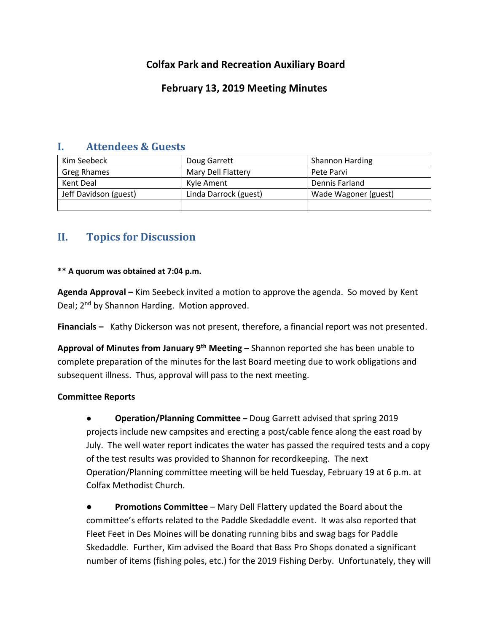# **Colfax Park and Recreation Auxiliary Board**

## **February 13, 2019 Meeting Minutes**

### **I. Attendees & Guests**

| Kim Seebeck           | Doug Garrett          | <b>Shannon Harding</b> |
|-----------------------|-----------------------|------------------------|
| Greg Rhames           | Mary Dell Flattery    | Pete Parvi             |
| Kent Deal             | Kyle Ament            | Dennis Farland         |
| Jeff Davidson (guest) | Linda Darrock (guest) | Wade Wagoner (guest)   |
|                       |                       |                        |

# **II. Topics for Discussion**

#### **\*\* A quorum was obtained at 7:04 p.m.**

**Agenda Approval –** Kim Seebeck invited a motion to approve the agenda. So moved by Kent Deal; 2<sup>nd</sup> by Shannon Harding. Motion approved.

**Financials –** Kathy Dickerson was not present, therefore, a financial report was not presented.

**Approval of Minutes from January 9th Meeting –** Shannon reported she has been unable to complete preparation of the minutes for the last Board meeting due to work obligations and subsequent illness. Thus, approval will pass to the next meeting.

#### **Committee Reports**

● **Operation/Planning Committee –** Doug Garrett advised that spring 2019 projects include new campsites and erecting a post/cable fence along the east road by July. The well water report indicates the water has passed the required tests and a copy of the test results was provided to Shannon for recordkeeping. The next Operation/Planning committee meeting will be held Tuesday, February 19 at 6 p.m. at Colfax Methodist Church.

**Promotions Committee** – Mary Dell Flattery updated the Board about the committee's efforts related to the Paddle Skedaddle event. It was also reported that Fleet Feet in Des Moines will be donating running bibs and swag bags for Paddle Skedaddle. Further, Kim advised the Board that Bass Pro Shops donated a significant number of items (fishing poles, etc.) for the 2019 Fishing Derby. Unfortunately, they will